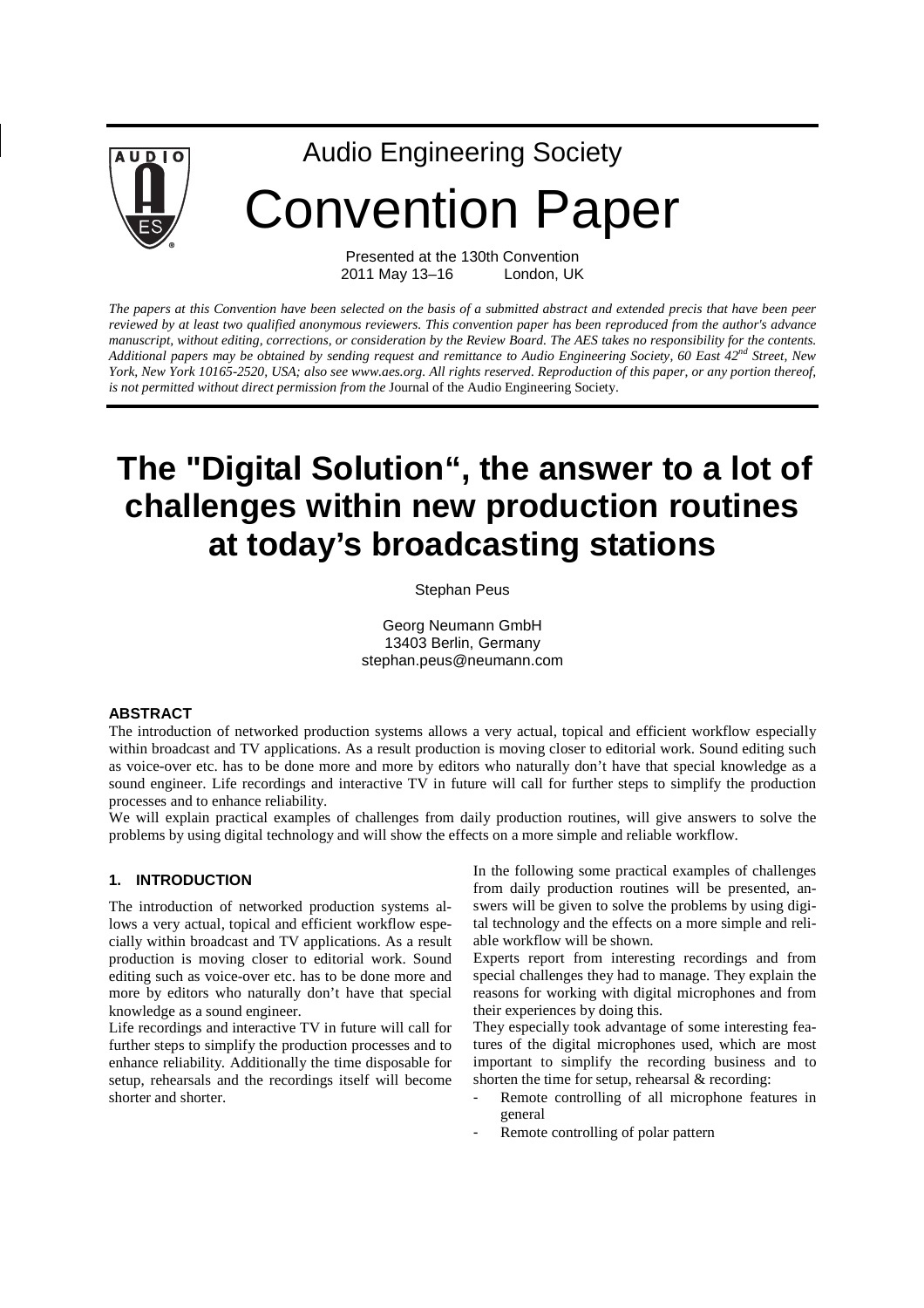

# Audio Engineering Society Convention Paper

Presented at the 130th Convention 2011 May 13–16 London, UK

*The papers at this Convention have been selected on the basis of a submitted abstract and extended precis that have been peer reviewed by at least two qualified anonymous reviewers. This convention paper has been reproduced from the author's advance manuscript, without editing, corrections, or consideration by the Review Board. The AES takes no responsibility for the contents. Additional papers may be obtained by sending request and remittance to Audio Engineering Society, 60 East 42nd Street, New York, New York 10165-2520, USA; also see www.aes.org. All rights reserved. Reproduction of this paper, or any portion thereof, is not permitted without direct permission from the* Journal of the Audio Engineering Society.

# **The "Digital Solution", the answer to a lot of challenges within new production routines at today's broadcasting stations**

Stephan Peus

Georg Neumann GmbH 13403 Berlin, Germany stephan.peus@neumann.com

#### **ABSTRACT**

The introduction of networked production systems allows a very actual, topical and efficient workflow especially within broadcast and TV applications. As a result production is moving closer to editorial work. Sound editing such as voice-over etc. has to be done more and more by editors who naturally don't have that special knowledge as a sound engineer. Life recordings and interactive TV in future will call for further steps to simplify the production processes and to enhance reliability.

We will explain practical examples of challenges from daily production routines, will give answers to solve the problems by using digital technology and will show the effects on a more simple and reliable workflow.

#### **1. INTRODUCTION**

The introduction of networked production systems allows a very actual, topical and efficient workflow especially within broadcast and TV applications. As a result production is moving closer to editorial work. Sound editing such as voice-over etc. has to be done more and more by editors who naturally don't have that special knowledge as a sound engineer.

Life recordings and interactive TV in future will call for further steps to simplify the production processes and to enhance reliability. Additionally the time disposable for setup, rehearsals and the recordings itself will become shorter and shorter.

In the following some practical examples of challenges from daily production routines will be presented, answers will be given to solve the problems by using digital technology and the effects on a more simple and reliable workflow will be shown.

Experts report from interesting recordings and from special challenges they had to manage. They explain the reasons for working with digital microphones and from their experiences by doing this.

They especially took advantage of some interesting features of the digital microphones used, which are most important to simplify the recording business and to shorten the time for setup, rehearsal  $&$  recording:

- Remote controlling of all microphone features in general
- Remote controlling of polar pattern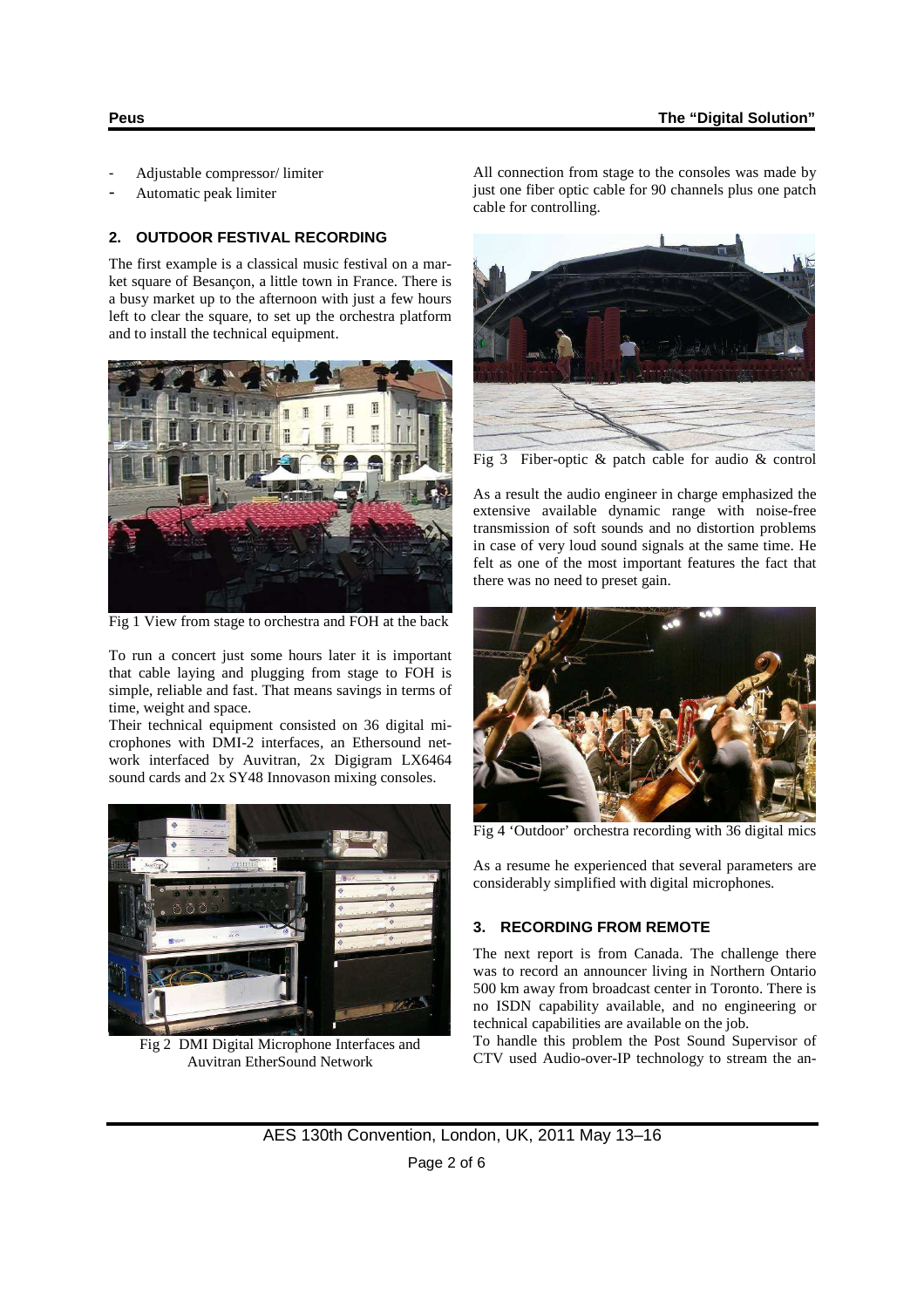- Adjustable compressor/ limiter
- Automatic peak limiter

#### **2. OUTDOOR FESTIVAL RECORDING**

The first example is a classical music festival on a market square of Besançon, a little town in France. There is a busy market up to the afternoon with just a few hours left to clear the square, to set up the orchestra platform and to install the technical equipment.



Fig 1 View from stage to orchestra and FOH at the back

To run a concert just some hours later it is important that cable laying and plugging from stage to FOH is simple, reliable and fast. That means savings in terms of time, weight and space.

Their technical equipment consisted on 36 digital microphones with DMI-2 interfaces, an Ethersound network interfaced by Auvitran, 2x Digigram LX6464 sound cards and 2x SY48 Innovason mixing consoles.



Fig 2 DMI Digital Microphone Interfaces and Auvitran EtherSound Network

All connection from stage to the consoles was made by just one fiber optic cable for 90 channels plus one patch cable for controlling.



Fig 3 Fiber-optic & patch cable for audio & control

As a result the audio engineer in charge emphasized the extensive available dynamic range with noise-free transmission of soft sounds and no distortion problems in case of very loud sound signals at the same time. He felt as one of the most important features the fact that there was no need to preset gain.



Fig 4 'Outdoor' orchestra recording with 36 digital mics

As a resume he experienced that several parameters are considerably simplified with digital microphones.

# **3. RECORDING FROM REMOTE**

The next report is from Canada. The challenge there was to record an announcer living in Northern Ontario 500 km away from broadcast center in Toronto. There is no ISDN capability available, and no engineering or technical capabilities are available on the job.

To handle this problem the Post Sound Supervisor of CTV used Audio-over-IP technology to stream the an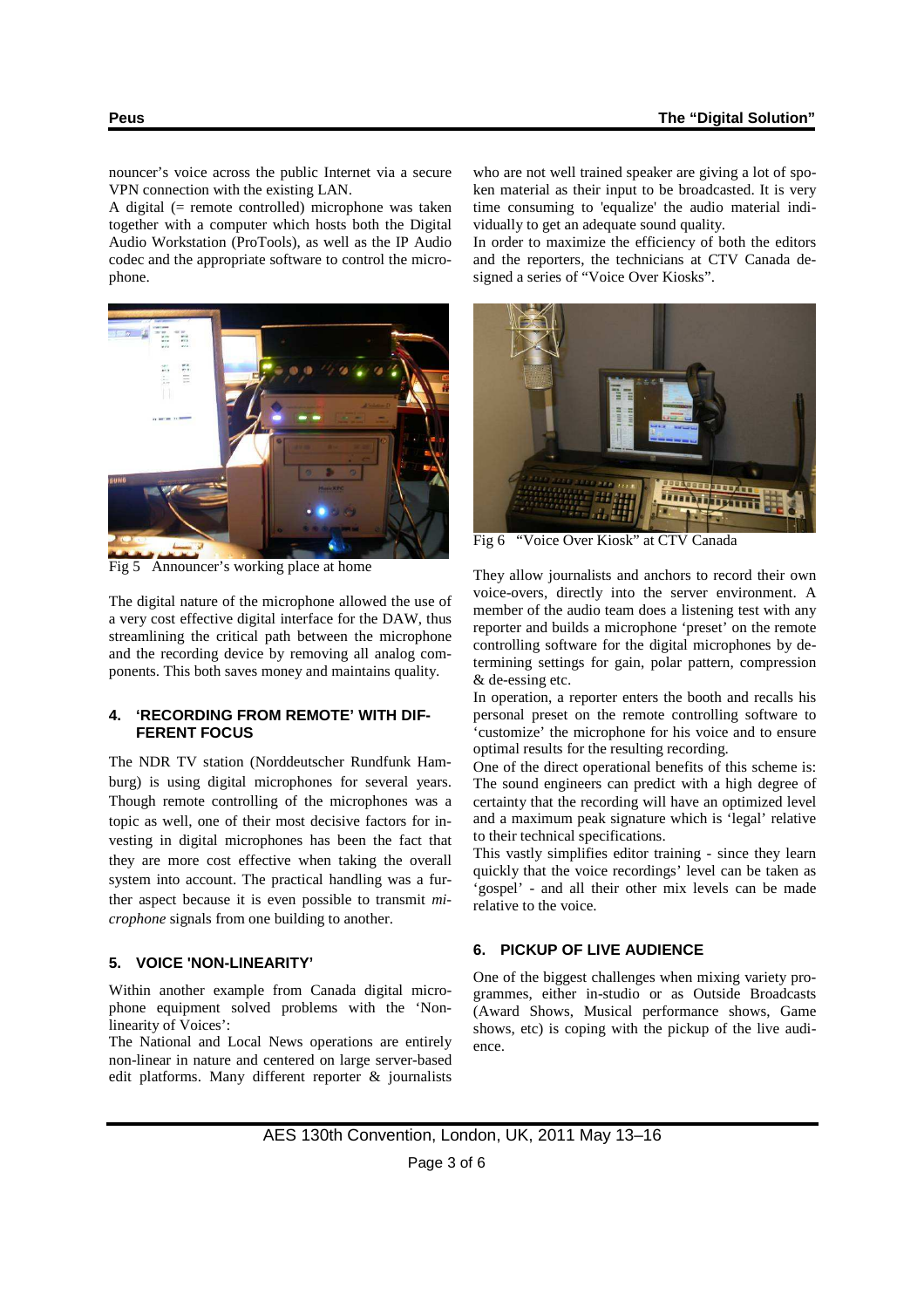nouncer's voice across the public Internet via a secure VPN connection with the existing LAN.

A digital (= remote controlled) microphone was taken together with a computer which hosts both the Digital Audio Workstation (ProTools), as well as the IP Audio codec and the appropriate software to control the microphone.



Fig 5 Announcer's working place at home

The digital nature of the microphone allowed the use of a very cost effective digital interface for the DAW, thus streamlining the critical path between the microphone and the recording device by removing all analog components. This both saves money and maintains quality.

#### **4. 'RECORDING FROM REMOTE' WITH DIF-FERENT FOCUS**

The NDR TV station (Norddeutscher Rundfunk Hamburg) is using digital microphones for several years. Though remote controlling of the microphones was a topic as well, one of their most decisive factors for investing in digital microphones has been the fact that they are more cost effective when taking the overall system into account. The practical handling was a further aspect because it is even possible to transmit *microphone* signals from one building to another.

#### **5. VOICE 'NON-LINEARITY'**

Within another example from Canada digital microphone equipment solved problems with the 'Nonlinearity of Voices':

The National and Local News operations are entirely non-linear in nature and centered on large server-based edit platforms. Many different reporter & journalists

who are not well trained speaker are giving a lot of spoken material as their input to be broadcasted. It is very time consuming to 'equalize' the audio material individually to get an adequate sound quality.

In order to maximize the efficiency of both the editors and the reporters, the technicians at CTV Canada designed a series of "Voice Over Kiosks".



Fig 6 "Voice Over Kiosk" at CTV Canada

They allow journalists and anchors to record their own voice-overs, directly into the server environment. A member of the audio team does a listening test with any reporter and builds a microphone 'preset' on the remote controlling software for the digital microphones by determining settings for gain, polar pattern, compression & de-essing etc.

In operation, a reporter enters the booth and recalls his personal preset on the remote controlling software to 'customize' the microphone for his voice and to ensure optimal results for the resulting recording.

One of the direct operational benefits of this scheme is: The sound engineers can predict with a high degree of certainty that the recording will have an optimized level and a maximum peak signature which is 'legal' relative to their technical specifications.

This vastly simplifies editor training - since they learn quickly that the voice recordings' level can be taken as 'gospel' - and all their other mix levels can be made relative to the voice.

# **6. PICKUP OF LIVE AUDIENCE**

One of the biggest challenges when mixing variety programmes, either in-studio or as Outside Broadcasts (Award Shows, Musical performance shows, Game shows, etc) is coping with the pickup of the live audience.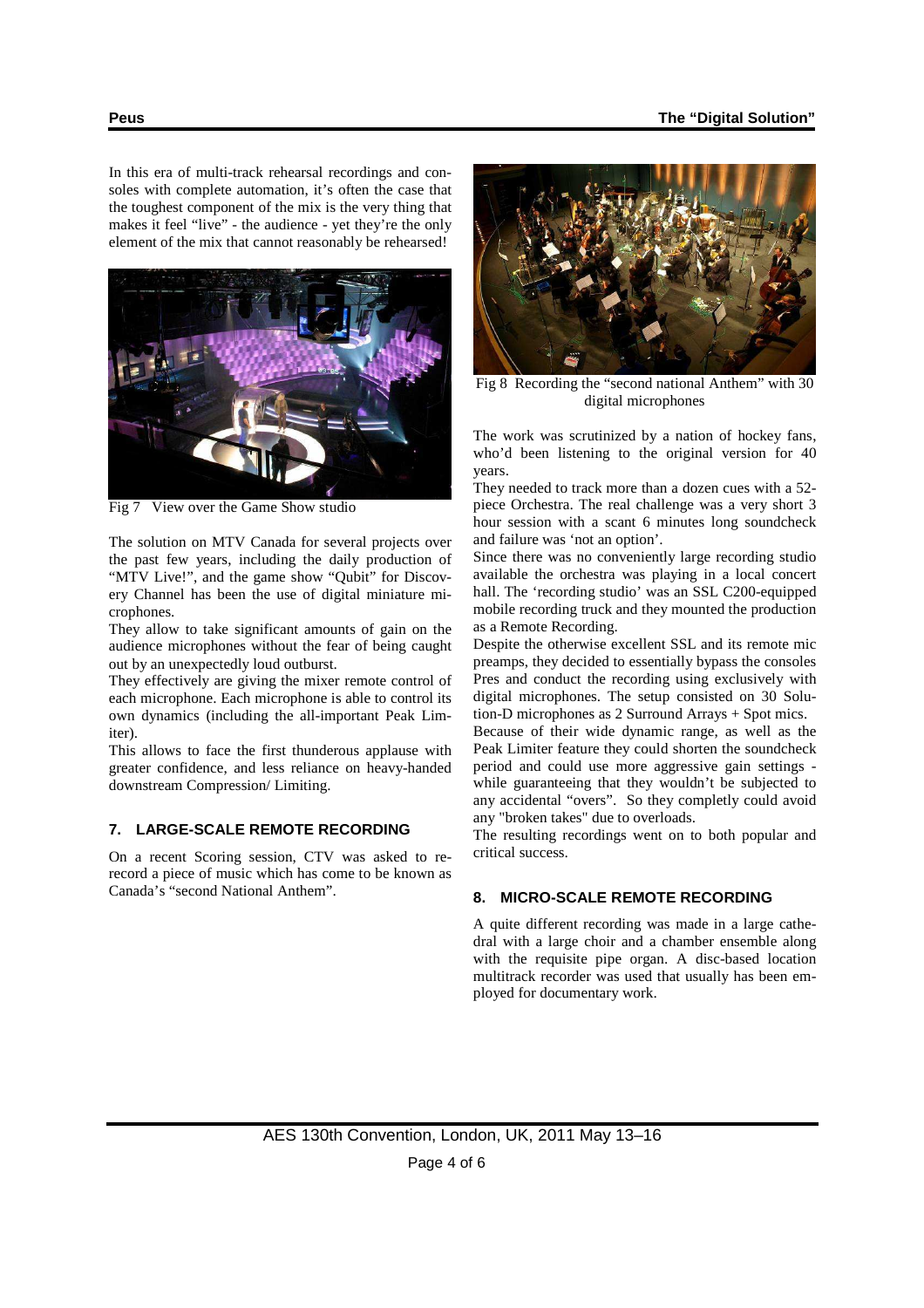In this era of multi-track rehearsal recordings and consoles with complete automation, it's often the case that the toughest component of the mix is the very thing that makes it feel "live" - the audience - yet they're the only element of the mix that cannot reasonably be rehearsed!



Fig 7 View over the Game Show studio

The solution on MTV Canada for several projects over the past few years, including the daily production of "MTV Live!", and the game show "Qubit" for Discovery Channel has been the use of digital miniature microphones.

They allow to take significant amounts of gain on the audience microphones without the fear of being caught out by an unexpectedly loud outburst.

They effectively are giving the mixer remote control of each microphone. Each microphone is able to control its own dynamics (including the all-important Peak Limiter).

This allows to face the first thunderous applause with greater confidence, and less reliance on heavy-handed downstream Compression/ Limiting.

#### **7. LARGE-SCALE REMOTE RECORDING**

On a recent Scoring session, CTV was asked to rerecord a piece of music which has come to be known as Canada's "second National Anthem".



Fig 8 Recording the "second national Anthem" with 30 digital microphones

The work was scrutinized by a nation of hockey fans, who'd been listening to the original version for 40 years.

They needed to track more than a dozen cues with a 52 piece Orchestra. The real challenge was a very short 3 hour session with a scant 6 minutes long soundcheck and failure was 'not an option'.

Since there was no conveniently large recording studio available the orchestra was playing in a local concert hall. The 'recording studio' was an SSL C200-equipped mobile recording truck and they mounted the production as a Remote Recording.

Despite the otherwise excellent SSL and its remote mic preamps, they decided to essentially bypass the consoles Pres and conduct the recording using exclusively with digital microphones. The setup consisted on 30 Solution-D microphones as 2 Surround Arrays + Spot mics.

Because of their wide dynamic range, as well as the Peak Limiter feature they could shorten the soundcheck period and could use more aggressive gain settings while guaranteeing that they wouldn't be subjected to any accidental "overs". So they completly could avoid any "broken takes" due to overloads.

The resulting recordings went on to both popular and critical success.

#### **8. MICRO-SCALE REMOTE RECORDING**

A quite different recording was made in a large cathedral with a large choir and a chamber ensemble along with the requisite pipe organ. A disc-based location multitrack recorder was used that usually has been employed for documentary work.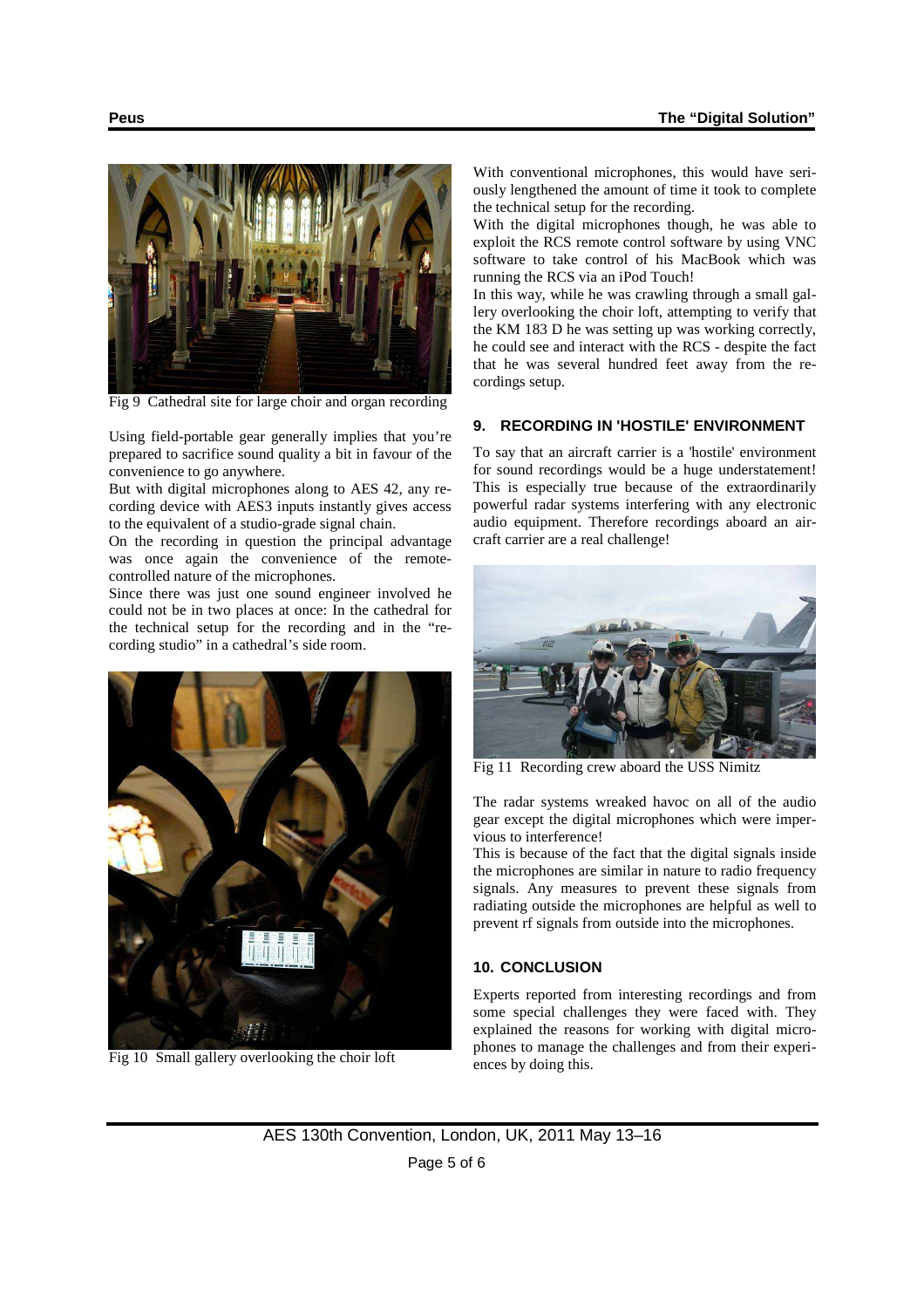

Fig 9 Cathedral site for large choir and organ recording

Using field-portable gear generally implies that you're prepared to sacrifice sound quality a bit in favour of the convenience to go anywhere.

But with digital microphones along to AES 42, any recording device with AES3 inputs instantly gives access to the equivalent of a studio-grade signal chain.

On the recording in question the principal advantage was once again the convenience of the remotecontrolled nature of the microphones.

Since there was just one sound engineer involved he could not be in two places at once: In the cathedral for the technical setup for the recording and in the "recording studio" in a cathedral's side room.



Fig 10 Small gallery overlooking the choir loft

With conventional microphones, this would have seriously lengthened the amount of time it took to complete the technical setup for the recording.

With the digital microphones though, he was able to exploit the RCS remote control software by using VNC software to take control of his MacBook which was running the RCS via an iPod Touch!

In this way, while he was crawling through a small gallery overlooking the choir loft, attempting to verify that the KM 183 D he was setting up was working correctly, he could see and interact with the RCS - despite the fact that he was several hundred feet away from the recordings setup.

#### **9. RECORDING IN 'HOSTILE' ENVIRONMENT**

To say that an aircraft carrier is a 'hostile' environment for sound recordings would be a huge understatement! This is especially true because of the extraordinarily powerful radar systems interfering with any electronic audio equipment. Therefore recordings aboard an aircraft carrier are a real challenge!



Fig 11 Recording crew aboard the USS Nimitz

The radar systems wreaked havoc on all of the audio gear except the digital microphones which were impervious to interference!

This is because of the fact that the digital signals inside the microphones are similar in nature to radio frequency signals. Any measures to prevent these signals from radiating outside the microphones are helpful as well to prevent rf signals from outside into the microphones.

#### **10. CONCLUSION**

Experts reported from interesting recordings and from some special challenges they were faced with. They explained the reasons for working with digital microphones to manage the challenges and from their experiences by doing this.